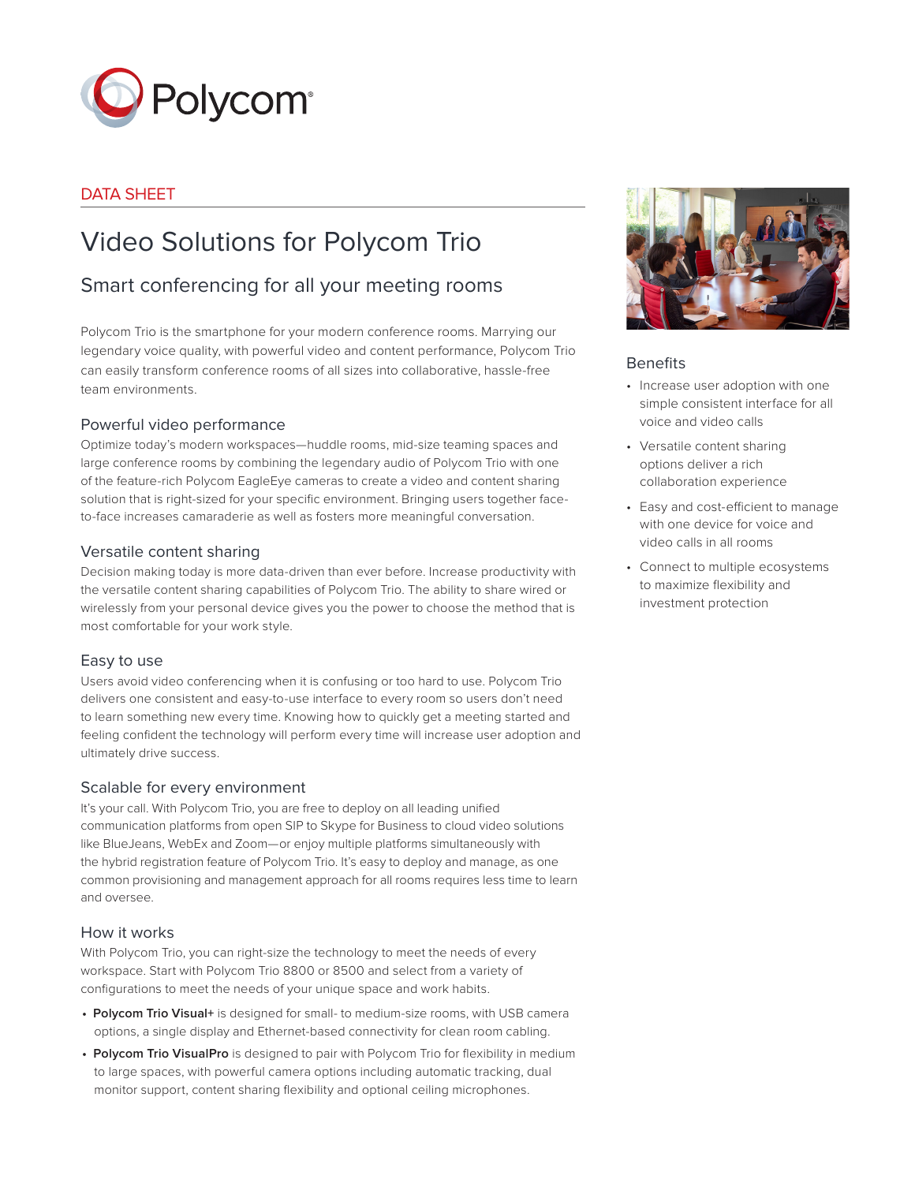

### DATA SHEET

# Video Solutions for Polycom Trio

## Smart conferencing for all your meeting rooms

Polycom Trio is the smartphone for your modern conference rooms. Marrying our legendary voice quality, with powerful video and content performance, Polycom Trio can easily transform conference rooms of all sizes into collaborative, hassle-free team environments.

#### Powerful video performance

Optimize today's modern workspaces—huddle rooms, mid-size teaming spaces and large conference rooms by combining the legendary audio of Polycom Trio with one of the feature-rich Polycom EagleEye cameras to create a video and content sharing solution that is right-sized for your specific environment. Bringing users together faceto-face increases camaraderie as well as fosters more meaningful conversation.

#### Versatile content sharing

Decision making today is more data-driven than ever before. Increase productivity with the versatile content sharing capabilities of Polycom Trio. The ability to share wired or wirelessly from your personal device gives you the power to choose the method that is most comfortable for your work style.

#### Easy to use

Users avoid video conferencing when it is confusing or too hard to use. Polycom Trio delivers one consistent and easy-to-use interface to every room so users don't need to learn something new every time. Knowing how to quickly get a meeting started and feeling confident the technology will perform every time will increase user adoption and ultimately drive success.

#### Scalable for every environment

It's your call. With Polycom Trio, you are free to deploy on all leading unified communication platforms from open SIP to Skype for Business to cloud video solutions like BlueJeans, WebEx and Zoom—or enjoy multiple platforms simultaneously with the hybrid registration feature of Polycom Trio. It's easy to deploy and manage, as one common provisioning and management approach for all rooms requires less time to learn and oversee.

#### How it works

With Polycom Trio, you can right-size the technology to meet the needs of every workspace. Start with Polycom Trio 8800 or 8500 and select from a variety of configurations to meet the needs of your unique space and work habits.

- **• Polycom Trio Visual+** is designed for small- to medium-size rooms, with USB camera options, a single display and Ethernet-based connectivity for clean room cabling.
- **• Polycom Trio VisualPro** is designed to pair with Polycom Trio for flexibility in medium to large spaces, with powerful camera options including automatic tracking, dual monitor support, content sharing flexibility and optional ceiling microphones.



#### Benefits

- Increase user adoption with one simple consistent interface for all voice and video calls
- Versatile content sharing options deliver a rich collaboration experience
- Easy and cost-efficient to manage with one device for voice and video calls in all rooms
- Connect to multiple ecosystems to maximize flexibility and investment protection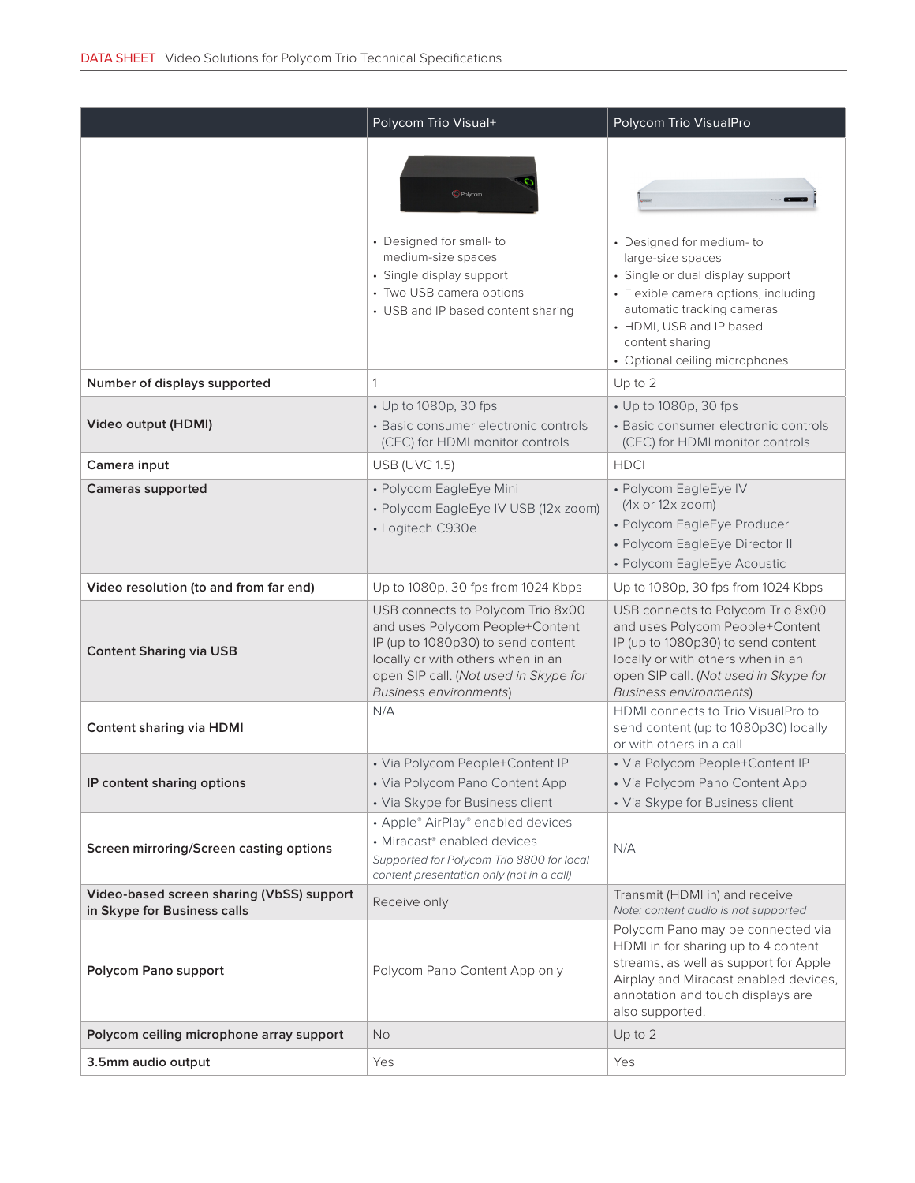|                                                                          | Polycom Trio Visual+                                                                                                                                                                                                      | Polycom Trio VisualPro                                                                                                                                                                                                                   |
|--------------------------------------------------------------------------|---------------------------------------------------------------------------------------------------------------------------------------------------------------------------------------------------------------------------|------------------------------------------------------------------------------------------------------------------------------------------------------------------------------------------------------------------------------------------|
|                                                                          | <b>O</b> Polycom<br>• Designed for small-to<br>medium-size spaces<br>• Single display support<br>• Two USB camera options<br>• USB and IP based content sharing                                                           | • Designed for medium-to<br>large-size spaces<br>· Single or dual display support<br>• Flexible camera options, including<br>automatic tracking cameras<br>• HDMI, USB and IP based<br>content sharing<br>• Optional ceiling microphones |
| Number of displays supported                                             | 1                                                                                                                                                                                                                         | Up to 2                                                                                                                                                                                                                                  |
| Video output (HDMI)                                                      | • Up to 1080p, 30 fps<br>• Basic consumer electronic controls<br>(CEC) for HDMI monitor controls                                                                                                                          | • Up to 1080p, 30 fps<br>• Basic consumer electronic controls<br>(CEC) for HDMI monitor controls                                                                                                                                         |
| Camera input                                                             | <b>USB (UVC 1.5)</b>                                                                                                                                                                                                      | <b>HDCI</b>                                                                                                                                                                                                                              |
| <b>Cameras supported</b>                                                 | • Polycom EagleEye Mini<br>• Polycom EagleEye IV USB (12x zoom)<br>• Logitech C930e                                                                                                                                       | • Polycom EagleEye IV<br>(4x or 12x zoom)<br>• Polycom EagleEye Producer<br>• Polycom EagleEye Director II<br>• Polycom EagleEye Acoustic                                                                                                |
| Video resolution (to and from far end)                                   | Up to 1080p, 30 fps from 1024 Kbps                                                                                                                                                                                        | Up to 1080p, 30 fps from 1024 Kbps                                                                                                                                                                                                       |
| <b>Content Sharing via USB</b>                                           | USB connects to Polycom Trio 8x00<br>and uses Polycom People+Content<br>IP (up to 1080p30) to send content<br>locally or with others when in an<br>open SIP call. (Not used in Skype for<br><b>Business environments)</b> | USB connects to Polycom Trio 8x00<br>and uses Polycom People+Content<br>IP (up to 1080p30) to send content<br>locally or with others when in an<br>open SIP call. (Not used in Skype for<br><b>Business environments)</b>                |
| <b>Content sharing via HDMI</b>                                          | N/A                                                                                                                                                                                                                       | HDMI connects to Trio VisualPro to<br>send content (up to 1080p30) locally<br>or with others in a call                                                                                                                                   |
| IP content sharing options                                               | • Via Polycom People+Content IP<br>• Via Polycom Pano Content App<br>• Via Skype for Business client                                                                                                                      | • Via Polycom People+Content IP<br>• Via Polycom Pano Content App<br>• Via Skype for Business client                                                                                                                                     |
| Screen mirroring/Screen casting options                                  | • Apple® AirPlay® enabled devices<br>• Miracast® enabled devices<br>Supported for Polycom Trio 8800 for local<br>content presentation only (not in a call)                                                                | N/A                                                                                                                                                                                                                                      |
| Video-based screen sharing (VbSS) support<br>in Skype for Business calls | Receive only                                                                                                                                                                                                              | Transmit (HDMI in) and receive<br>Note: content audio is not supported                                                                                                                                                                   |
| Polycom Pano support                                                     | Polycom Pano Content App only                                                                                                                                                                                             | Polycom Pano may be connected via<br>HDMI in for sharing up to 4 content<br>streams, as well as support for Apple<br>Airplay and Miracast enabled devices,<br>annotation and touch displays are<br>also supported.                       |
| Polycom ceiling microphone array support                                 | No.                                                                                                                                                                                                                       | Up to 2                                                                                                                                                                                                                                  |
| 3.5mm audio output                                                       | Yes                                                                                                                                                                                                                       | Yes                                                                                                                                                                                                                                      |
|                                                                          |                                                                                                                                                                                                                           |                                                                                                                                                                                                                                          |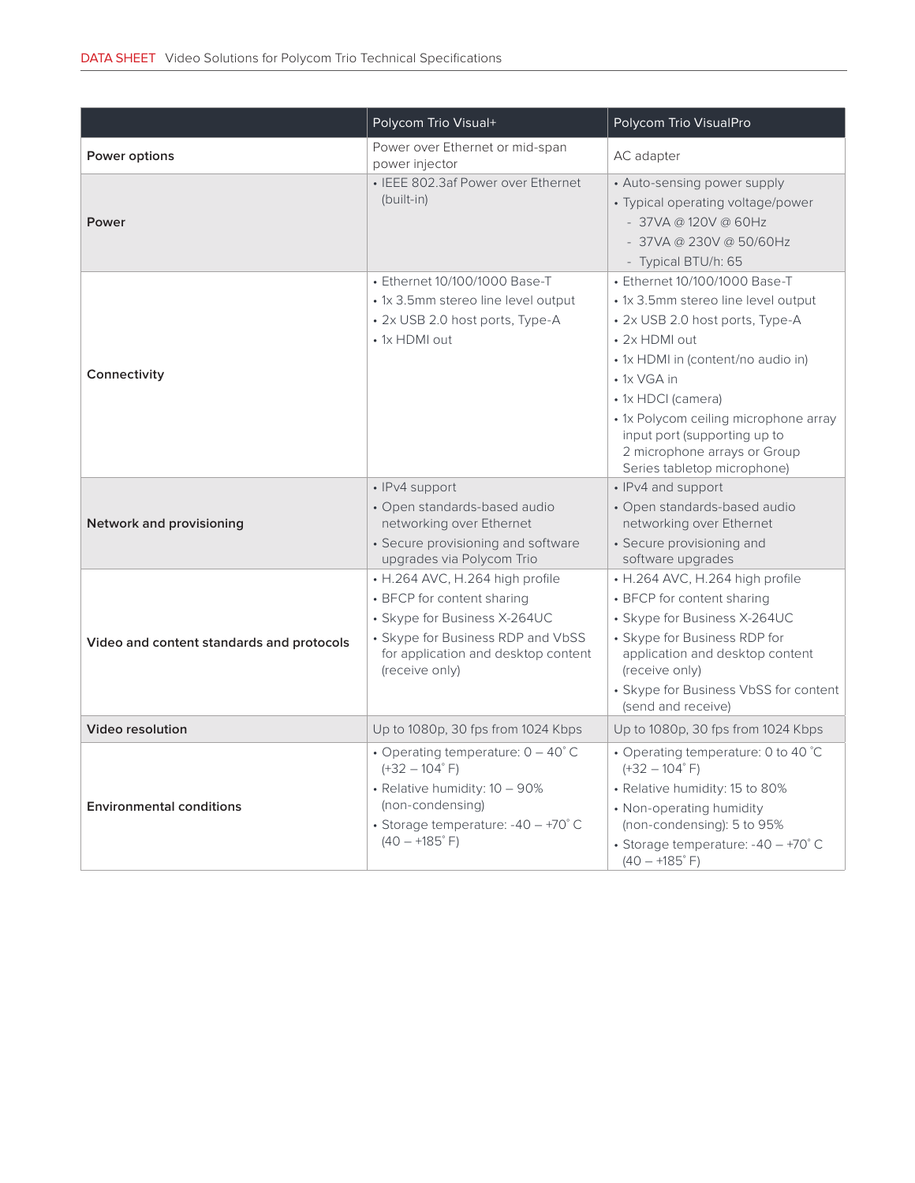|                                           | Polycom Trio Visual+                                                                                                                                                                        | Polycom Trio VisualPro                                                                                                                                                                                                                                                                                                                      |
|-------------------------------------------|---------------------------------------------------------------------------------------------------------------------------------------------------------------------------------------------|---------------------------------------------------------------------------------------------------------------------------------------------------------------------------------------------------------------------------------------------------------------------------------------------------------------------------------------------|
| Power options                             | Power over Ethernet or mid-span<br>power injector                                                                                                                                           | AC adapter                                                                                                                                                                                                                                                                                                                                  |
| Power                                     | • IEEE 802.3af Power over Ethernet<br>(built-in)                                                                                                                                            | • Auto-sensing power supply<br>• Typical operating voltage/power<br>$-37$ VA @ 120V @ 60Hz<br>- 37VA @ 230V @ 50/60Hz<br>- Typical BTU/h: 65                                                                                                                                                                                                |
| Connectivity                              | • Ethernet 10/100/1000 Base-T<br>• 1x 3.5mm stereo line level output<br>• 2x USB 2.0 host ports, Type-A<br>• 1x HDMI out                                                                    | • Ethernet 10/100/1000 Base-T<br>• 1x 3.5mm stereo line level output<br>• 2x USB 2.0 host ports, Type-A<br>• 2x HDMI out<br>• 1x HDMI in (content/no audio in)<br>• 1x VGA in<br>• 1x HDCI (camera)<br>• 1x Polycom ceiling microphone array<br>input port (supporting up to<br>2 microphone arrays or Group<br>Series tabletop microphone) |
| Network and provisioning                  | • IPv4 support<br>• Open standards-based audio<br>networking over Ethernet<br>• Secure provisioning and software<br>upgrades via Polycom Trio                                               | • IPv4 and support<br>· Open standards-based audio<br>networking over Ethernet<br>• Secure provisioning and<br>software upgrades                                                                                                                                                                                                            |
| Video and content standards and protocols | • H.264 AVC, H.264 high profile<br>• BFCP for content sharing<br>• Skype for Business X-264UC<br>• Skype for Business RDP and VbSS<br>for application and desktop content<br>(receive only) | • H.264 AVC, H.264 high profile<br>• BFCP for content sharing<br>• Skype for Business X-264UC<br>• Skype for Business RDP for<br>application and desktop content<br>(receive only)<br>• Skype for Business VbSS for content<br>(send and receive)                                                                                           |
| <b>Video resolution</b>                   | Up to 1080p, 30 fps from 1024 Kbps                                                                                                                                                          | Up to 1080p, 30 fps from 1024 Kbps                                                                                                                                                                                                                                                                                                          |
| <b>Environmental conditions</b>           | • Operating temperature: $0 - 40^{\circ}$ C<br>$(+32 - 104$ °F)<br>• Relative humidity: $10 - 90\%$<br>(non-condensing)<br>• Storage temperature: $-40 - +70^{\circ}$ C<br>$(40 - +185$ °F) | • Operating temperature: 0 to 40 °C<br>$(+32 - 104$ °F)<br>· Relative humidity: 15 to 80%<br>• Non-operating humidity<br>(non-condensing): 5 to 95%<br>• Storage temperature: $-40 - +70^{\circ}$ C<br>$(40 - +185$ °F)                                                                                                                     |